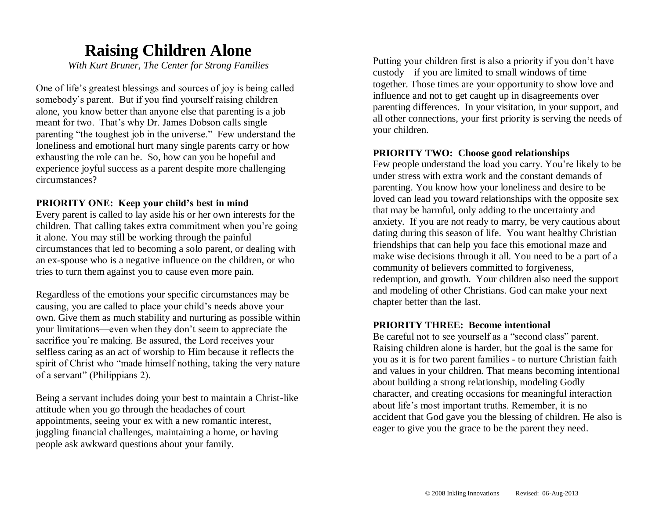## **Raising Children Alone**

*With Kurt Bruner, The Center for Strong Families*

One of life's greatest blessings and sources of joy is being called somebody's parent. But if you find yourself raising children alone, you know better than anyone else that parenting is a job meant for two. That's why Dr. James Dobson calls single parenting "the toughest job in the universe." Few understand the loneliness and emotional hurt many single parents carry or how exhausting the role can be. So, how can you be hopeful and experience joyful success as a parent despite more challenging circumstances?

#### **PRIORITY ONE: Keep your child's best in mind**

Every parent is called to lay aside his or her own interests for the children. That calling takes extra commitment when you're going it alone. You may still be working through the painful circumstances that led to becoming a solo parent, or dealing with an ex-spouse who is a negative influence on the children, or who tries to turn them against you to cause even more pain.

Regardless of the emotions your specific circumstances may be causing, you are called to place your child's needs above your own. Give them as much stability and nurturing as possible within your limitations—even when they don't seem to appreciate the sacrifice you're making. Be assured, the Lord receives your selfless caring as an act of worship to Him because it reflects the spirit of Christ who "made himself nothing, taking the very nature of a servant" (Philippians 2).

Being a servant includes doing your best to maintain a Christ-like attitude when you go through the headaches of court appointments, seeing your ex with a new romantic interest, juggling financial challenges, maintaining a home, or having people ask awkward questions about your family.

Putting your children first is also a priority if you don't have custody—if you are limited to small windows of time together. Those times are your opportunity to show love and influence and not to get caught up in disagreements over parenting differences. In your visitation, in your support, and all other connections, your first priority is serving the needs of your children.

#### **PRIORITY TWO: Choose good relationships**

Few people understand the load you carry. You're likely to be under stress with extra work and the constant demands of parenting. You know how your loneliness and desire to be loved can lead you toward relationships with the opposite sex that may be harmful, only adding to the uncertainty and anxiety. If you are not ready to marry, be very cautious about dating during this season of life. You want healthy Christian friendships that can help you face this emotional maze and make wise decisions through it all. You need to be a part of a community of believers committed to forgiveness, redemption, and growth. Your children also need the support and modeling of other Christians. God can make your next chapter better than the last.

#### **PRIORITY THREE: Become intentional**

Be careful not to see yourself as a "second class" parent. Raising children alone is harder, but the goal is the same for you as it is for two parent families - to nurture Christian faith and values in your children. That means becoming intentional about building a strong relationship, modeling Godly character, and creating occasions for meaningful interaction about life's most important truths. Remember, it is no accident that God gave you the blessing of children. He also is eager to give you the grace to be the parent they need.